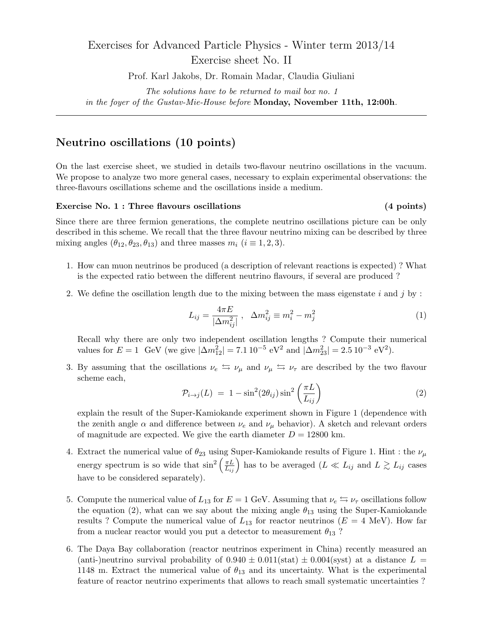# Exercises for Advanced Particle Physics - Winter term 2013/14 Exercise sheet No. II

Prof. Karl Jakobs, Dr. Romain Madar, Claudia Giuliani

*The solutions have to be returned to mail box no. 1*

*in the foyer of the Gustav-Mie-House before* **Monday, November 11th, 12:00h***.*

## **Neutrino oscillations (10 points)**

On the last exercise sheet, we studied in details two-flavour neutrino oscillations in the vacuum. We propose to analyze two more general cases, necessary to explain experimental observations: the three-flavours oscillations scheme and the oscillations inside a medium.

#### **Exercise No. 1 : Three flavours oscillations (4 points)**

Since there are three fermion generations, the complete neutrino oscillations picture can be only described in this scheme. We recall that the three flavour neutrino mixing can be described by three mixing angles  $(\theta_{12}, \theta_{23}, \theta_{13})$  and three masses  $m_i$   $(i \equiv 1, 2, 3)$ .

- 1. How can muon neutrinos be produced (a description of relevant reactions is expected) ? What is the expected ratio between the different neutrino flavours, if several are produced ?
- 2. We define the oscillation length due to the mixing between the mass eigenstate *i* and *j* by :

$$
L_{ij} = \frac{4\pi E}{|\Delta m_{ij}^2|} \ , \ \ \Delta m_{ij}^2 \equiv m_i^2 - m_j^2 \tag{1}
$$

Recall why there are only two independent oscillation lengths ? Compute their numerical values for  $E = 1$  GeV (we give  $|\Delta m_{12}^2| = 7.1 \times 10^{-5} \text{ eV}^2$  and  $|\Delta m_{23}^2| = 2.5 \times 10^{-3} \text{ eV}^2$ ).

3. By assuming that the oscillations  $\nu_e \leftrightarrow \nu_\mu$  and  $\nu_\mu \leftrightarrow \nu_\tau$  are described by the two flavour scheme each,

$$
\mathcal{P}_{i \to j}(L) = 1 - \sin^2(2\theta_{ij})\sin^2\left(\frac{\pi L}{L_{ij}}\right) \tag{2}
$$

explain the result of the Super-Kamiokande experiment shown in Figure 1 (dependence with the zenith angle  $\alpha$  and difference between  $\nu_e$  and  $\nu_\mu$  behavior). A sketch and relevant orders of magnitude are expected. We give the earth diameter  $D = 12800$  km.

- 4. Extract the numerical value of  $\theta_{23}$  using Super-Kamiokande results of Figure 1. Hint : the  $\nu_\mu$ energy spectrum is so wide that  $\sin^2\left(\frac{\pi L}{L_{ij}}\right)$  has to be averaged  $(L \ll L_{ij})$  and  $L \gtrsim L_{ij}$  cases have to be considered separately).
- 5. Compute the numerical value of  $L_{13}$  for  $E = 1$  GeV. Assuming that  $\nu_e \leftrightarrows \nu_\tau$  oscillations follow the equation (2), what can we say about the mixing angle *θ*<sup>13</sup> using the Super-Kamiokande results ? Compute the numerical value of  $L_{13}$  for reactor neutrinos ( $E = 4$  MeV). How far from a nuclear reactor would you put a detector to measurement  $\theta_{13}$ ?
- 6. The Daya Bay collaboration (reactor neutrinos experiment in China) recently measured an (anti-)neutrino survival probability of  $0.940 \pm 0.011$ (stat)  $\pm 0.004$ (syst) at a distance  $L =$ 1148 m. Extract the numerical value of  $\theta_{13}$  and its uncertainty. What is the experimental feature of reactor neutrino experiments that allows to reach small systematic uncertainties ?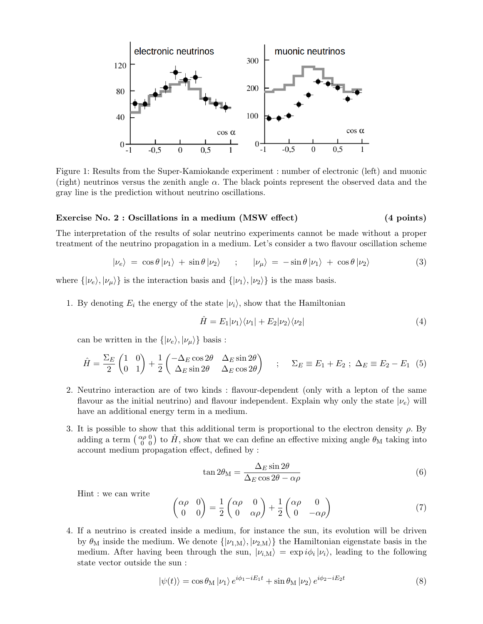

Figure 1: Results from the Super-Kamiokande experiment : number of electronic (left) and muonic (right) neutrinos versus the zenith angle *α*. The black points represent the observed data and the gray line is the prediction without neutrino oscillations.

#### **Exercise No. 2 : Oscillations in a medium (MSW effect) (4 points)**

The interpretation of the results of solar neutrino experiments cannot be made without a proper treatment of the neutrino propagation in a medium. Let's consider a two flavour oscillation scheme

$$
|\nu_e\rangle = \cos\theta |\nu_1\rangle + \sin\theta |\nu_2\rangle \qquad ; \qquad |\nu_\mu\rangle = -\sin\theta |\nu_1\rangle + \cos\theta |\nu_2\rangle \tag{3}
$$

where  $\{|\nu_e\rangle, |\nu_\mu\rangle\}$  is the interaction basis and  $\{|\nu_1\rangle, |\nu_2\rangle\}$  is the mass basis.

1. By denoting  $E_i$  the energy of the state  $|\nu_i\rangle$ , show that the Hamiltonian

$$
\hat{H} = E_1|\nu_1\rangle\langle\nu_1| + E_2|\nu_2\rangle\langle\nu_2| \tag{4}
$$

can be written in the  $\{|\nu_e\rangle, |\nu_\mu\rangle\}$  basis :

$$
\hat{H} = \frac{\Sigma_E}{2} \begin{pmatrix} 1 & 0 \\ 0 & 1 \end{pmatrix} + \frac{1}{2} \begin{pmatrix} -\Delta_E \cos 2\theta & \Delta_E \sin 2\theta \\ \Delta_E \sin 2\theta & \Delta_E \cos 2\theta \end{pmatrix} ; \quad \Sigma_E \equiv E_1 + E_2 ; \Delta_E \equiv E_2 - E_1 (5)
$$

- 2. Neutrino interaction are of two kinds : flavour-dependent (only with a lepton of the same flavour as the initial neutrino) and flavour independent. Explain why only the state  $|\nu_e\rangle$  will have an additional energy term in a medium.
- 3. It is possible to show that this additional term is proportional to the electron density  $\rho$ . By adding a term  $\begin{pmatrix} \alpha \rho & 0 \\ 0 & 0 \end{pmatrix}$  $\hat{H}$ <sup>0</sup>  $\hat{H}$ <sup>0</sup>) to  $\hat{H}$ , show that we can define an effective mixing angle  $\theta_M$  taking into account medium propagation effect, defined by :

$$
\tan 2\theta_{\rm M} = \frac{\Delta_E \sin 2\theta}{\Delta_E \cos 2\theta - \alpha \rho} \tag{6}
$$

Hint : we can write

$$
\begin{pmatrix} \alpha \rho & 0 \\ 0 & 0 \end{pmatrix} = \frac{1}{2} \begin{pmatrix} \alpha \rho & 0 \\ 0 & \alpha \rho \end{pmatrix} + \frac{1}{2} \begin{pmatrix} \alpha \rho & 0 \\ 0 & -\alpha \rho \end{pmatrix}
$$
(7)

4. If a neutrino is created inside a medium, for instance the sun, its evolution will be driven by  $\theta_M$  inside the medium. We denote  $\{|\nu_{1,M}\rangle, |\nu_{2,M}\rangle\}$  the Hamiltonian eigenstate basis in the medium. After having been through the sun,  $|\nu_{i,M}\rangle = \exp i\phi_i |\nu_i\rangle$ , leading to the following state vector outside the sun :

$$
|\psi(t)\rangle = \cos\theta_{\rm M} |\nu_1\rangle e^{i\phi_1 - iE_1t} + \sin\theta_{\rm M} |\nu_2\rangle e^{i\phi_2 - iE_2t}
$$
 (8)